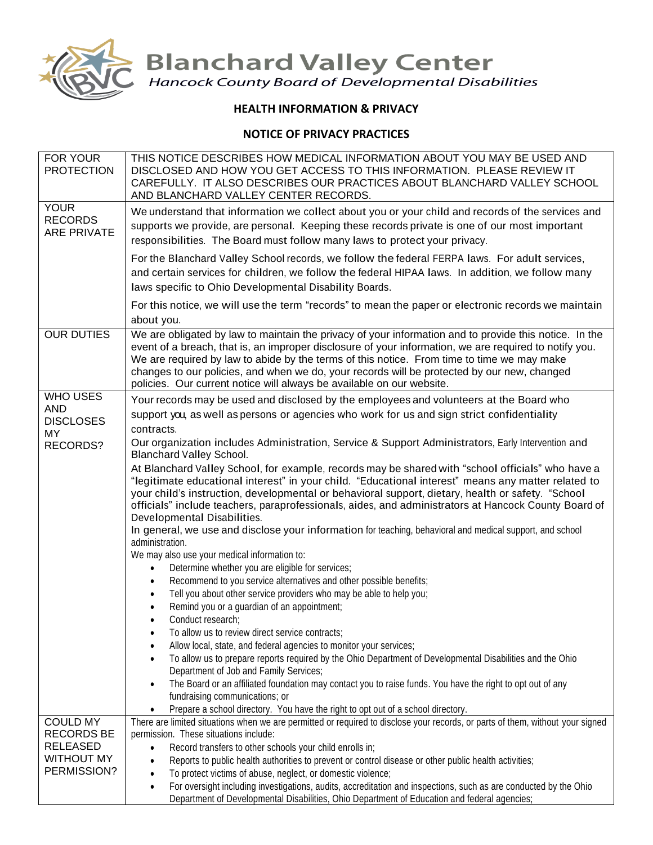

**Blanchard Valley Center**<br>Hancock County Board of Developmental Disabilities

## **HEALTH INFORMATION & PRIVACY**

## **NOTICE OF PRIVACY PRACTICES**

| FOR YOUR<br><b>PROTECTION</b>                       | THIS NOTICE DESCRIBES HOW MEDICAL INFORMATION ABOUT YOU MAY BE USED AND<br>DISCLOSED AND HOW YOU GET ACCESS TO THIS INFORMATION. PLEASE REVIEW IT<br>CAREFULLY. IT ALSO DESCRIBES OUR PRACTICES ABOUT BLANCHARD VALLEY SCHOOL<br>AND BLANCHARD VALLEY CENTER RECORDS.                                                                                                                                                                                                                  |
|-----------------------------------------------------|----------------------------------------------------------------------------------------------------------------------------------------------------------------------------------------------------------------------------------------------------------------------------------------------------------------------------------------------------------------------------------------------------------------------------------------------------------------------------------------|
| <b>YOUR</b><br><b>RECORDS</b><br><b>ARE PRIVATE</b> | We understand that information we collect about you or your child and records of the services and<br>supports we provide, are personal. Keeping these records private is one of our most important<br>responsibilities. The Board must follow many laws to protect your privacy.                                                                                                                                                                                                       |
|                                                     | For the Blanchard Valley School records, we follow the federal FERPA laws. For adult services,<br>and certain services for children, we follow the federal HIPAA laws. In addition, we follow many<br>laws specific to Ohio Developmental Disability Boards.                                                                                                                                                                                                                           |
|                                                     | For this notice, we will use the term "records" to mean the paper or electronic records we maintain<br>about you.                                                                                                                                                                                                                                                                                                                                                                      |
| <b>OUR DUTIES</b>                                   | We are obligated by law to maintain the privacy of your information and to provide this notice. In the<br>event of a breach, that is, an improper disclosure of your information, we are required to notify you.<br>We are required by law to abide by the terms of this notice. From time to time we may make<br>changes to our policies, and when we do, your records will be protected by our new, changed<br>policies. Our current notice will always be available on our website. |
| WHO USES                                            | Your records may be used and disclosed by the employees and volunteers at the Board who                                                                                                                                                                                                                                                                                                                                                                                                |
| <b>AND</b><br><b>DISCLOSES</b>                      | support you, as well as persons or agencies who work for us and sign strict confidentiality                                                                                                                                                                                                                                                                                                                                                                                            |
| MY                                                  | contracts.                                                                                                                                                                                                                                                                                                                                                                                                                                                                             |
| RECORDS?                                            | Our organization includes Administration, Service & Support Administrators, Early Intervention and<br><b>Blanchard Valley School.</b>                                                                                                                                                                                                                                                                                                                                                  |
|                                                     | At Blanchard Valley School, for example, records may be shared with "school officials" who have a<br>"legitimate educational interest" in your child. "Educational interest" means any matter related to<br>your child's instruction, developmental or behavioral support, dietary, health or safety. "School<br>officials" include teachers, paraprofessionals, aides, and administrators at Hancock County Board of<br>Developmental Disabilities.                                   |
|                                                     | In general, we use and disclose your information for teaching, behavioral and medical support, and school<br>administration.                                                                                                                                                                                                                                                                                                                                                           |
|                                                     | We may also use your medical information to:                                                                                                                                                                                                                                                                                                                                                                                                                                           |
|                                                     | Determine whether you are eligible for services;                                                                                                                                                                                                                                                                                                                                                                                                                                       |
|                                                     | Recommend to you service alternatives and other possible benefits;<br>Tell you about other service providers who may be able to help you;                                                                                                                                                                                                                                                                                                                                              |
|                                                     | Remind you or a guardian of an appointment;                                                                                                                                                                                                                                                                                                                                                                                                                                            |
|                                                     | Conduct research;                                                                                                                                                                                                                                                                                                                                                                                                                                                                      |
|                                                     | To allow us to review direct service contracts;                                                                                                                                                                                                                                                                                                                                                                                                                                        |
|                                                     | Allow local, state, and federal agencies to monitor your services;                                                                                                                                                                                                                                                                                                                                                                                                                     |
|                                                     | To allow us to prepare reports required by the Ohio Department of Developmental Disabilities and the Ohio<br>Department of Job and Family Services;                                                                                                                                                                                                                                                                                                                                    |
|                                                     | The Board or an affiliated foundation may contact you to raise funds. You have the right to opt out of any<br>fundraising communications; or                                                                                                                                                                                                                                                                                                                                           |
|                                                     | Prepare a school directory. You have the right to opt out of a school directory.                                                                                                                                                                                                                                                                                                                                                                                                       |
| <b>COULD MY</b>                                     | There are limited situations when we are permitted or required to disclose your records, or parts of them, without your signed                                                                                                                                                                                                                                                                                                                                                         |
| <b>RECORDS BE</b>                                   | permission. These situations include:                                                                                                                                                                                                                                                                                                                                                                                                                                                  |
| <b>RELEASED</b>                                     | Record transfers to other schools your child enrolls in;<br>$\bullet$                                                                                                                                                                                                                                                                                                                                                                                                                  |
| <b>WITHOUT MY</b><br>PERMISSION?                    | Reports to public health authorities to prevent or control disease or other public health activities;<br>$\bullet$                                                                                                                                                                                                                                                                                                                                                                     |
|                                                     | To protect victims of abuse, neglect, or domestic violence;<br>$\bullet$<br>For oversight including investigations, audits, accreditation and inspections, such as are conducted by the Ohio<br>$\bullet$                                                                                                                                                                                                                                                                              |
|                                                     | Department of Developmental Disabilities, Ohio Department of Education and federal agencies;                                                                                                                                                                                                                                                                                                                                                                                           |